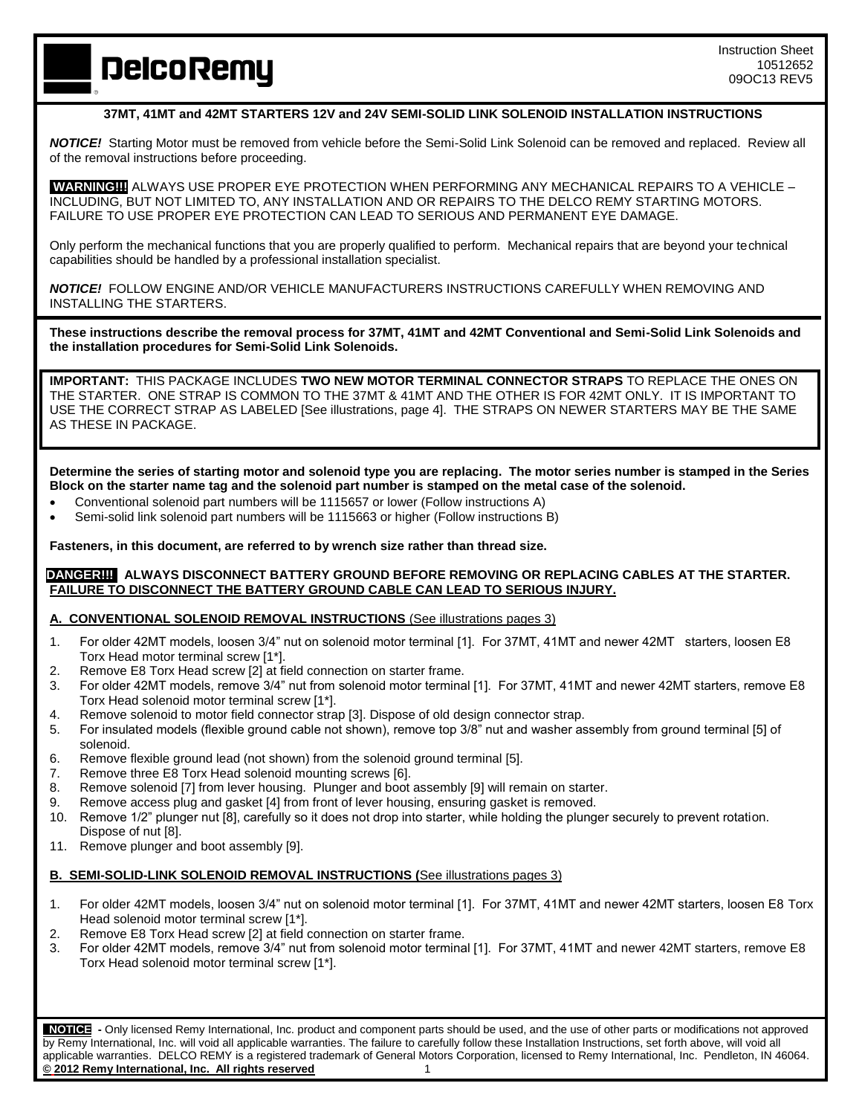**DelcoRemy** 

## **37MT, 41MT and 42MT STARTERS 12V and 24V SEMI-SOLID LINK SOLENOID INSTALLATION INSTRUCTIONS**

*NOTICE!* Starting Motor must be removed from vehicle before the Semi-Solid Link Solenoid can be removed and replaced. Review all of the removal instructions before proceeding.

**WARNING!!!!**ALWAYS USE PROPER EYE PROTECTION WHEN PERFORMING ANY MECHANICAL REPAIRS TO A VEHICLE – INCLUDING, BUT NOT LIMITED TO, ANY INSTALLATION AND OR REPAIRS TO THE DELCO REMY STARTING MOTORS. FAILURE TO USE PROPER EYE PROTECTION CAN LEAD TO SERIOUS AND PERMANENT EYE DAMAGE.

Only perform the mechanical functions that you are properly qualified to perform. Mechanical repairs that are beyond your technical capabilities should be handled by a professional installation specialist.

*NOTICE!*FOLLOW ENGINE AND/OR VEHICLE MANUFACTURERS INSTRUCTIONS CAREFULLY WHEN REMOVING AND INSTALLING THE STARTERS.

**These instructions describe the removal process for 37MT, 41MT and 42MT Conventional and Semi-Solid Link Solenoids and the installation procedures for Semi-Solid Link Solenoids.** 

**IMPORTANT:** THIS PACKAGE INCLUDES **TWO NEW MOTOR TERMINAL CONNECTOR STRAPS** TO REPLACE THE ONES ON THE STARTER. ONE STRAP IS COMMON TO THE 37MT & 41MT AND THE OTHER IS FOR 42MT ONLY. IT IS IMPORTANT TO USE THE CORRECT STRAP AS LABELED [See illustrations, page 4]. THE STRAPS ON NEWER STARTERS MAY BE THE SAME AS THESE IN PACKAGE.

**Determine the series of starting motor and solenoid type you are replacing. The motor series number is stamped in the Series Block on the starter name tag and the solenoid part number is stamped on the metal case of the solenoid.**

- Conventional solenoid part numbers will be 1115657 or lower (Follow instructions A)
- Semi-solid link solenoid part numbers will be 1115663 or higher (Follow instructions B)

**Fasteners, in this document, are referred to by wrench size rather than thread size.**

#### **DANGER!!! ALWAYS DISCONNECT BATTERY GROUND BEFORE REMOVING OR REPLACING CABLES AT THE STARTER. FAILURE TO DISCONNECT THE BATTERY GROUND CABLE CAN LEAD TO SERIOUS INJURY.**

**A. CONVENTIONAL SOLENOID REMOVAL INSTRUCTIONS** (See illustrations pages 3)

- 1. For older 42MT models, loosen 3/4" nut on solenoid motor terminal [1]. For 37MT, 41MT and newer 42MT starters, loosen E8 Torx Head motor terminal screw [1\*].
- 2. Remove E8 Torx Head screw [2] at field connection on starter frame.
- 3. For older 42MT models, remove 3/4" nut from solenoid motor terminal [1]. For 37MT, 41MT and newer 42MT starters, remove E8 Torx Head solenoid motor terminal screw [1\*].
- 4. Remove solenoid to motor field connector strap [3]. Dispose of old design connector strap.
- 5. For insulated models (flexible ground cable not shown), remove top 3/8" nut and washer assembly from ground terminal [5] of solenoid.
- 6. Remove flexible ground lead (not shown) from the solenoid ground terminal [5].
- 7. Remove three E8 Torx Head solenoid mounting screws [6].
- 8. Remove solenoid [7] from lever housing. Plunger and boot assembly [9] will remain on starter.
- 9. Remove access plug and gasket [4] from front of lever housing, ensuring gasket is removed.
- 10. Remove 1/2" plunger nut [8], carefully so it does not drop into starter, while holding the plunger securely to prevent rotation. Dispose of nut [8].
- 11. Remove plunger and boot assembly [9].

#### **B. SEMI-SOLID-LINK SOLENOID REMOVAL INSTRUCTIONS (**See illustrations pages 3)

- 1. For older 42MT models, loosen 3/4" nut on solenoid motor terminal [1]. For 37MT, 41MT and newer 42MT starters, loosen E8 Torx Head solenoid motor terminal screw [1\*].
- 2. Remove E8 Torx Head screw [2] at field connection on starter frame.
- 3. For older 42MT models, remove 3/4" nut from solenoid motor terminal [1]. For 37MT, 41MT and newer 42MT starters, remove E8 Torx Head solenoid motor terminal screw [1\*].

 **NOTICE -** Only licensed Remy International, Inc. product and component parts should be used, and the use of other parts or modifications not approved by Remy International, Inc. will void all applicable warranties. The failure to carefully follow these Installation Instructions, set forth above, will void all applicable warranties. DELCO REMY is a registered trademark of General Motors Corporation, licensed to Remy International, Inc. Pendleton, IN 46064. **© 2012 Remy International, Inc. All rights reserved** 1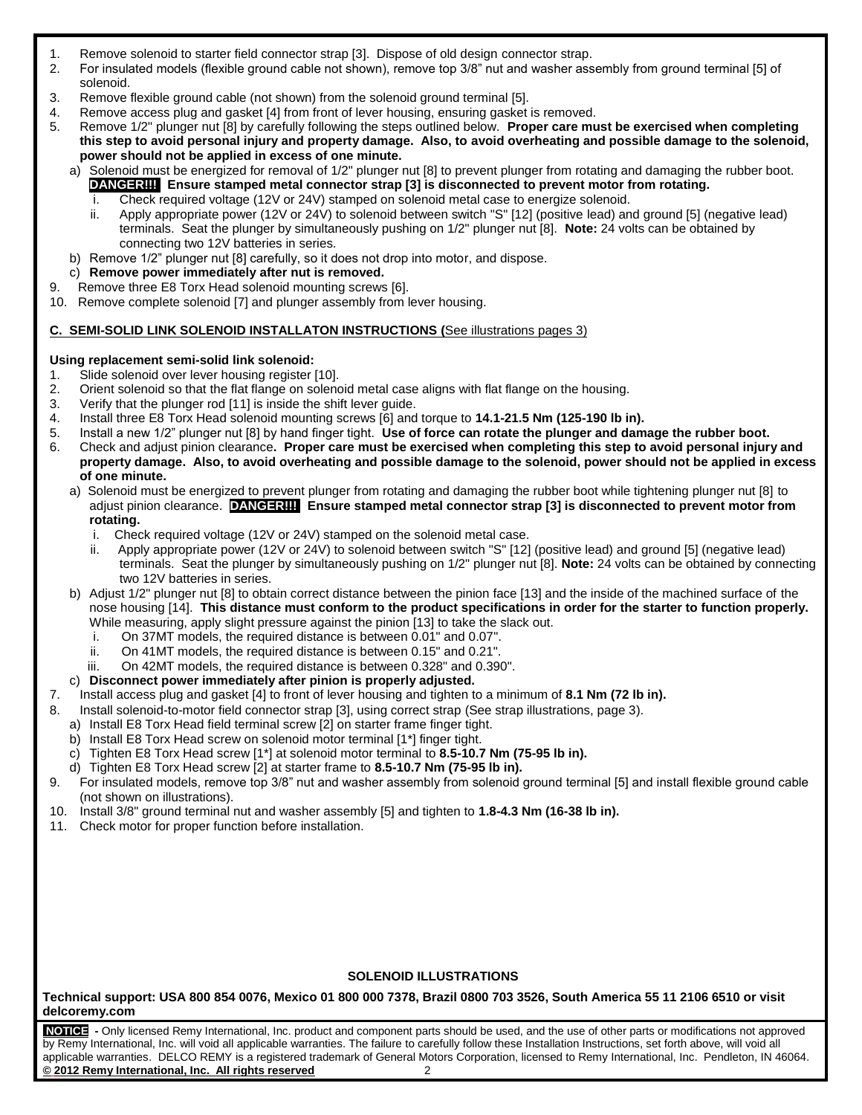- 1. Remove solenoid to starter field connector strap [3]. Dispose of old design connector strap.
- 2. For insulated models (flexible ground cable not shown), remove top 3/8" nut and washer assembly from ground terminal [5] of solenoid.
- 3. Remove flexible ground cable (not shown) from the solenoid ground terminal [5].
- 4. Remove access plug and gasket [4] from front of lever housing, ensuring gasket is removed.
- 5. Remove 1/2" plunger nut [8] by carefully following the steps outlined below. **Proper care must be exercised when completing this step to avoid personal injury and property damage. Also, to avoid overheating and possible damage to the solenoid, power should not be applied in excess of one minute.**
	- a) Solenoid must be energized for removal of 1/2" plunger nut [8] to prevent plunger from rotating and damaging the rubber boot. **DANGER!!! Ensure stamped metal connector strap [3] is disconnected to prevent motor from rotating.**
		- i. Check required voltage (12V or 24V) stamped on solenoid metal case to energize solenoid.
		- ii. Apply appropriate power (12V or 24V) to solenoid between switch "S" [12] (positive lead) and ground [5] (negative lead) terminals. Seat the plunger by simultaneously pushing on 1/2" plunger nut [8]. **Note:** 24 volts can be obtained by connecting two 12V batteries in series.
	- b) Remove 1/2" plunger nut [8] carefully, so it does not drop into motor, and dispose.
	- c) **Remove power immediately after nut is removed.**
- 9. Remove three E8 Torx Head solenoid mounting screws [6].
- 10. Remove complete solenoid [7] and plunger assembly from lever housing.

# **C. SEMI-SOLID LINK SOLENOID INSTALLATON INSTRUCTIONS (**See illustrations pages 3)

#### **Using replacement semi-solid link solenoid:**

- 1. Slide solenoid over lever housing register [10].
- 2. Orient solenoid so that the flat flange on solenoid metal case aligns with flat flange on the housing.
- 3. Verify that the plunger rod [11] is inside the shift lever guide.
- 4. Install three E8 Torx Head solenoid mounting screws [6] and torque to **14.1-21.5 Nm (125-190 lb in).**
	- 5. Install a new 1/2" plunger nut [8] by hand finger tight. **Use of force can rotate the plunger and damage the rubber boot.**
- 6. Check and adjust pinion clearance**. Proper care must be exercised when completing this step to avoid personal injury and property damage. Also, to avoid overheating and possible damage to the solenoid, power should not be applied in excess of one minute.**
	- a) Solenoid must be energized to prevent plunger from rotating and damaging the rubber boot while tightening plunger nut [8] to adjust pinion clearance. **DANGER!!! Ensure stamped metal connector strap [3] is disconnected to prevent motor from rotating.**
		- i. Check required voltage (12V or 24V) stamped on the solenoid metal case.
		- ii. Apply appropriate power (12V or 24V) to solenoid between switch "S" [12] (positive lead) and ground [5] (negative lead) terminals. Seat the plunger by simultaneously pushing on 1/2" plunger nut [8]. **Note:** 24 volts can be obtained by connecting two 12V batteries in series.
	- b) Adjust 1/2" plunger nut [8] to obtain correct distance between the pinion face [13] and the inside of the machined surface of the nose housing [14]. **This distance must conform to the product specifications in order for the starter to function properly.** While measuring, apply slight pressure against the pinion [13] to take the slack out.
		- i. On 37MT models, the required distance is between 0.01" and 0.07".
		- ii. On 41MT models, the required distance is between 0.15" and 0.21".
		- iii. On 42MT models, the required distance is between 0.328" and 0.390".
	- c) **Disconnect power immediately after pinion is properly adjusted.**
- 7. Install access plug and gasket [4] to front of lever housing and tighten to a minimum of **8.1 Nm (72 lb in).**
- 8. Install solenoid-to-motor field connector strap [3], using correct strap (See strap illustrations, page 3).
	- a) Install E8 Torx Head field terminal screw [2] on starter frame finger tight.
	- b) Install E8 Torx Head screw on solenoid motor terminal [1\*] finger tight.
	- c) Tighten E8 Torx Head screw [1\*] at solenoid motor terminal to **8.5-10.7 Nm (75-95 lb in).**
	- d) Tighten E8 Torx Head screw [2] at starter frame to **8.5-10.7 Nm (75-95 lb in).**
- 9. For insulated models, remove top 3/8" nut and washer assembly from solenoid ground terminal [5] and install flexible ground cable (not shown on illustrations).
- 10. Install 3/8" ground terminal nut and washer assembly [5] and tighten to **1.8-4.3 Nm (16-38 lb in).**
- 11. Check motor for proper function before installation.

# **SOLENOID ILLUSTRATIONS**

**Technical support: USA 800 854 0076, Mexico 01 800 000 7378, Brazil 0800 703 3526, South America 55 11 2106 6510 or visit delcoremy.com**

**NOTICE -** Only licensed Remy International, Inc. product and component parts should be used, and the use of other parts or modifications not approved by Remy International, Inc. will void all applicable warranties. The failure to carefully follow these Installation Instructions, set forth above, will void all applicable warranties. DELCO REMY is a registered trademark of General Motors Corporation, licensed to Remy International, Inc. Pendleton, IN 46064. **© 2012 Remy International, Inc. All rights reserved** 2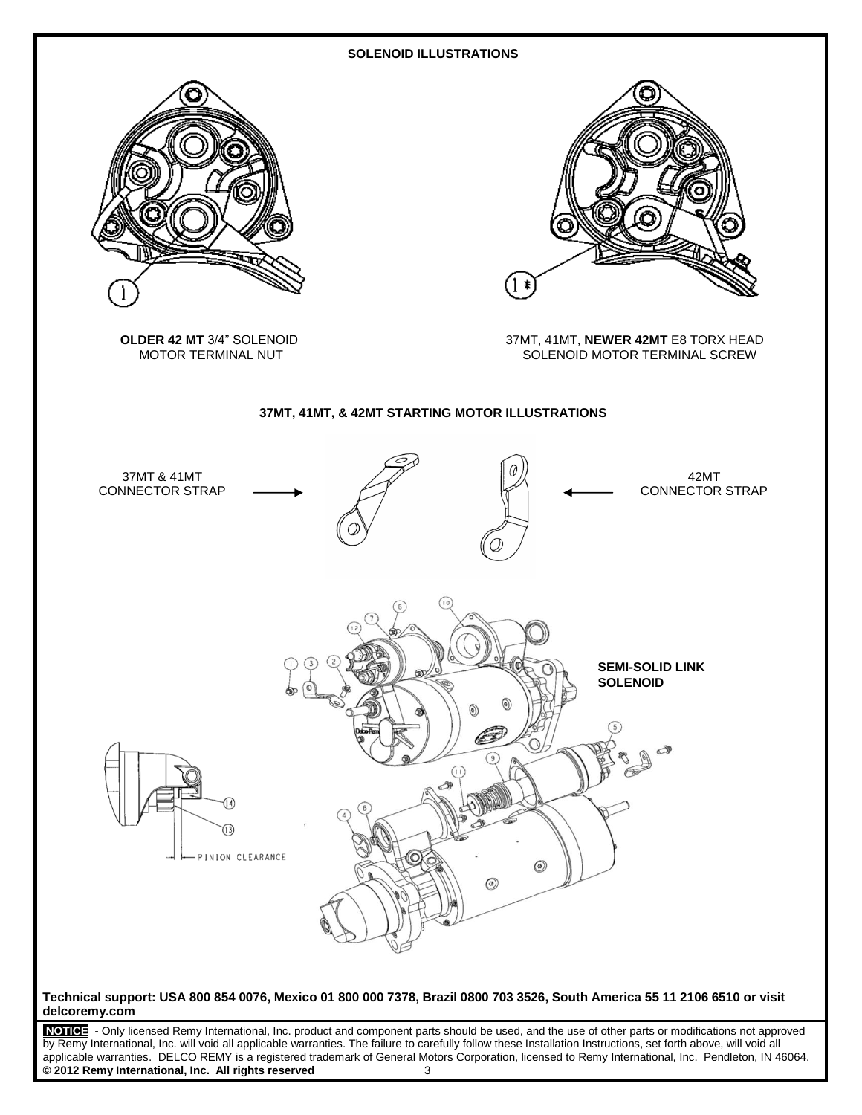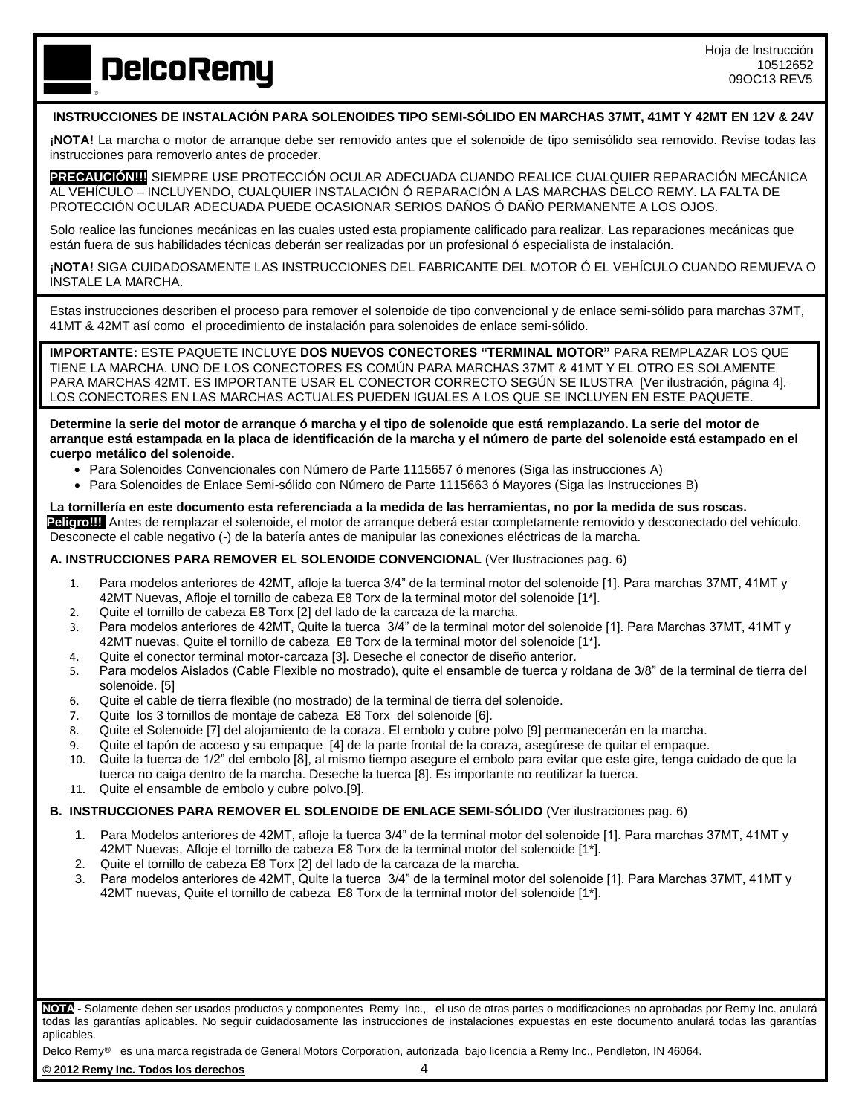**DelcoRemy** 

# **INSTRUCCIONES DE INSTALACIÓN PARA SOLENOIDES TIPO SEMI-SÓLIDO EN MARCHAS 37MT, 41MT Y 42MT EN 12V & 24V**

**¡NOTA!** La marcha o motor de arranque debe ser removido antes que el solenoide de tipo semisólido sea removido. Revise todas las instrucciones para removerlo antes de proceder.

**PRECAUCIÓN!!!!**SIEMPRE USE PROTECCIÓN OCULAR ADECUADA CUANDO REALICE CUALQUIER REPARACIÓN MECÁNICA AL VEHÍCULO – INCLUYENDO, CUALQUIER INSTALACIÓN Ó REPARACIÓN A LAS MARCHAS DELCO REMY. LA FALTA DE PROTECCIÓN OCULAR ADECUADA PUEDE OCASIONAR SERIOS DAÑOS Ó DAÑO PERMANENTE A LOS OJOS.

Solo realice las funciones mecánicas en las cuales usted esta propiamente calificado para realizar. Las reparaciones mecánicas que están fuera de sus habilidades técnicas deberán ser realizadas por un profesional ó especialista de instalación.

**¡NOTA!** SIGA CUIDADOSAMENTE LAS INSTRUCCIONES DEL FABRICANTE DEL MOTOR Ó EL VEHÍCULO CUANDO REMUEVA O INSTALE LA MARCHA.

Estas instrucciones describen el proceso para remover el solenoide de tipo convencional y de enlace semi-sólido para marchas 37MT, 41MT & 42MT así como el procedimiento de instalación para solenoides de enlace semi-sólido.

**IMPORTANTE:** ESTE PAQUETE INCLUYE **DOS NUEVOS CONECTORES "TERMINAL MOTOR"** PARA REMPLAZAR LOS QUE TIENE LA MARCHA. UNO DE LOS CONECTORES ES COMÚN PARA MARCHAS 37MT & 41MT Y EL OTRO ES SOLAMENTE PARA MARCHAS 42MT. ES IMPORTANTE USAR EL CONECTOR CORRECTO SEGÚN SE ILUSTRA [Ver ilustración, página 4]. LOS CONECTORES EN LAS MARCHAS ACTUALES PUEDEN IGUALES A LOS QUE SE INCLUYEN EN ESTE PAQUETE.

**Determine la serie del motor de arranque ó marcha y el tipo de solenoide que está remplazando. La serie del motor de arranque está estampada en la placa de identificación de la marcha y el número de parte del solenoide está estampado en el cuerpo metálico del solenoide.**

- Para Solenoides Convencionales con Número de Parte 1115657 ó menores (Siga las instrucciones A)
- Para Solenoides de Enlace Semi-sólido con Número de Parte 1115663 ó Mayores (Siga las Instrucciones B)

**La tornillería en este documento esta referenciada a la medida de las herramientas, no por la medida de sus roscas. Peligro!!!** Antes de remplazar el solenoide, el motor de arranque deberá estar completamente removido y desconectado del vehículo. Desconecte el cable negativo (-) de la batería antes de manipular las conexiones eléctricas de la marcha.

# **A. INSTRUCCIONES PARA REMOVER EL SOLENOIDE CONVENCIONAL** (Ver Ilustraciones pag. 6)

- 1. Para modelos anteriores de 42MT, afloje la tuerca 3/4" de la terminal motor del solenoide [1]. Para marchas 37MT, 41MT y 42MT Nuevas, Afloje el tornillo de cabeza E8 Torx de la terminal motor del solenoide [1\*].
- 2. Quite el tornillo de cabeza E8 Torx [2] del lado de la carcaza de la marcha.
- 3. Para modelos anteriores de 42MT, Quite la tuerca 3/4" de la terminal motor del solenoide [1]. Para Marchas 37MT, 41MT y 42MT nuevas, Quite el tornillo de cabeza E8 Torx de la terminal motor del solenoide [1\*].
- 4. Quite el conector terminal motor-carcaza [3]. Deseche el conector de diseño anterior.
- 5. Para modelos Aislados (Cable Flexible no mostrado), quite el ensamble de tuerca y roldana de 3/8" de la terminal de tierra del solenoide. [5]
- 6. Quite el cable de tierra flexible (no mostrado) de la terminal de tierra del solenoide.
- 7. Quite los 3 tornillos de montaje de cabeza E8 Torx del solenoide [6].
- 8. Quite el Solenoide [7] del alojamiento de la coraza. El embolo y cubre polvo [9] permanecerán en la marcha.
- 9. Quite el tapón de acceso y su empaque [4] de la parte frontal de la coraza, asegúrese de quitar el empaque.
- 10. Quite la tuerca de 1/2" del embolo [8], al mismo tiempo asegure el embolo para evitar que este gire, tenga cuidado de que la tuerca no caiga dentro de la marcha. Deseche la tuerca [8]. Es importante no reutilizar la tuerca.
- 11. Quite el ensamble de embolo y cubre polvo.[9].

#### **B. INSTRUCCIONES PARA REMOVER EL SOLENOIDE DE ENLACE SEMI-SÓLIDO** (Ver ilustraciones pag. 6)

- 1. Para Modelos anteriores de 42MT, afloje la tuerca 3/4" de la terminal motor del solenoide [1]. Para marchas 37MT, 41MT y 42MT Nuevas, Afloje el tornillo de cabeza E8 Torx de la terminal motor del solenoide [1\*].
- 2. Quite el tornillo de cabeza E8 Torx [2] del lado de la carcaza de la marcha.
- 3. Para modelos anteriores de 42MT, Quite la tuerca 3/4" de la terminal motor del solenoide [1]. Para Marchas 37MT, 41MT y 42MT nuevas, Quite el tornillo de cabeza E8 Torx de la terminal motor del solenoide [1\*].

**NOTA -** Solamente deben ser usados productos y componentes Remy Inc., el uso de otras partes o modificaciones no aprobadas por Remy Inc. anulará todas las garantías aplicables. No seguir cuidadosamente las instrucciones de instalaciones expuestas en este documento anulará todas las garantías aplicables.

Delco Remy<sup>®</sup> es una marca registrada de General Motors Corporation, autorizada bajo licencia a Remy Inc., Pendleton, IN 46064.

**© 2012 Remy Inc. Todos los derechos** 4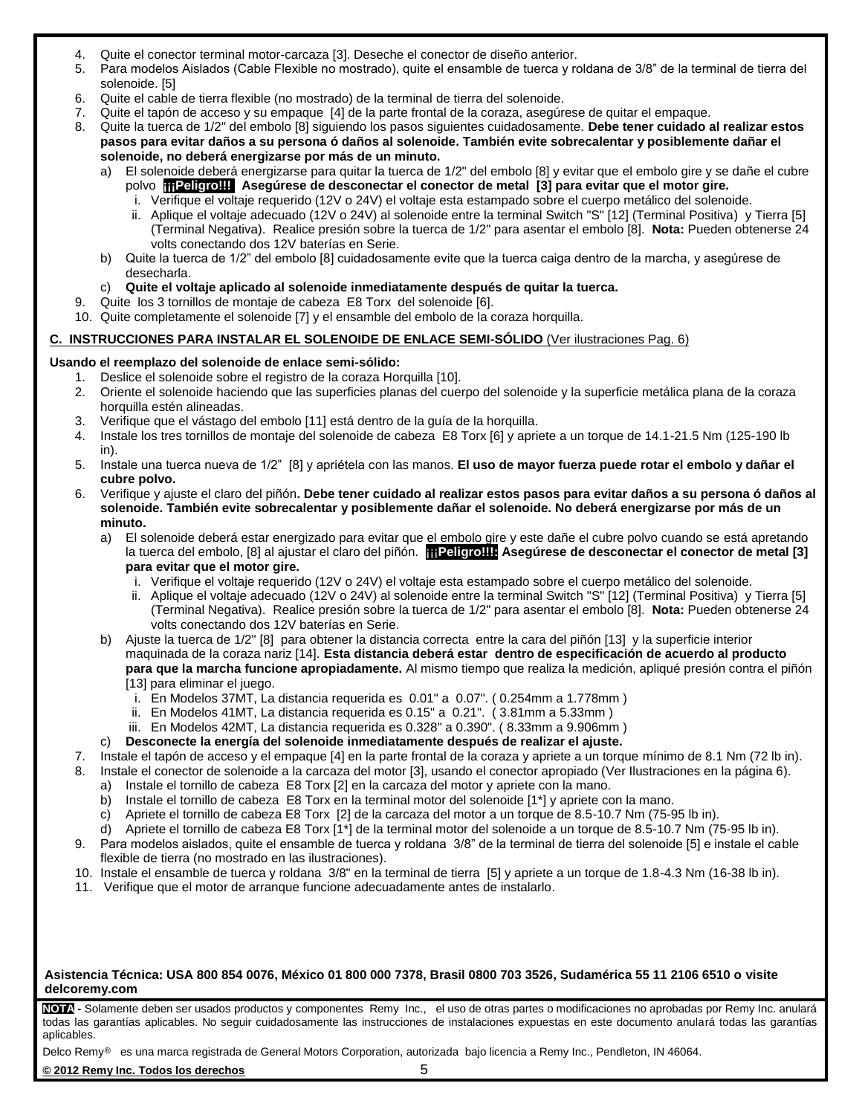- 4. Quite el conector terminal motor-carcaza [3]. Deseche el conector de diseño anterior.
- 5. Para modelos Aislados (Cable Flexible no mostrado), quite el ensamble de tuerca y roldana de 3/8" de la terminal de tierra del solenoide. [5]
- 6. Quite el cable de tierra flexible (no mostrado) de la terminal de tierra del solenoide.
- 7. Quite el tapón de acceso y su empaque [4] de la parte frontal de la coraza, asegúrese de quitar el empaque.
- 8. Quite la tuerca de 1/2" del embolo [8] siguiendo los pasos siguientes cuidadosamente. **Debe tener cuidado al realizar estos pasos para evitar daños a su persona ó daños al solenoide. También evite sobrecalentar y posiblemente dañar el solenoide, no deberá energizarse por más de un minuto.**
	- a) El solenoide deberá energizarse para quitar la tuerca de 1/2" del embolo [8] y evitar que el embolo gire y se dañe el cubre polvo **¡¡¡Peligro!!! Asegúrese de desconectar el conector de metal [3] para evitar que el motor gire.**
		- i. Verifique el voltaje requerido (12V o 24V) el voltaje esta estampado sobre el cuerpo metálico del solenoide.
		- ii. Aplique el voltaje adecuado (12V o 24V) al solenoide entre la terminal Switch "S" [12] (Terminal Positiva) y Tierra [5] (Terminal Negativa). Realice presión sobre la tuerca de 1/2" para asentar el embolo [8]. **Nota:** Pueden obtenerse 24 volts conectando dos 12V baterías en Serie.
	- b) Quite la tuerca de 1/2" del embolo [8] cuidadosamente evite que la tuerca caiga dentro de la marcha, y asegúrese de desecharla.

# c) **Quite el voltaje aplicado al solenoide inmediatamente después de quitar la tuerca.**

- 9. Quite los 3 tornillos de montaje de cabeza E8 Torx del solenoide [6].
- 10. Quite completamente el solenoide [7] y el ensamble del embolo de la coraza horquilla.

# **C. INSTRUCCIONES PARA INSTALAR EL SOLENOIDE DE ENLACE SEMI-SÓLIDO** (Ver ilustraciones Pag. 6)

# **Usando el reemplazo del solenoide de enlace semi-sólido:**

- 1. Deslice el solenoide sobre el registro de la coraza Horquilla [10].
- 2. Oriente el solenoide haciendo que las superficies planas del cuerpo del solenoide y la superficie metálica plana de la coraza horquilla estén alineadas.
- 3. Verifique que el vástago del embolo [11] está dentro de la guía de la horquilla.
- 4. Instale los tres tornillos de montaje del solenoide de cabeza E8 Torx [6] y apriete a un torque de 14.1-21.5 Nm (125-190 lb in).
- 5. Instale una tuerca nueva de 1/2" [8] y apriétela con las manos. **El uso de mayor fuerza puede rotar el embolo y dañar el cubre polvo.**
- 6. Verifique y ajuste el claro del piñón**. Debe tener cuidado al realizar estos pasos para evitar daños a su persona ó daños al solenoide. También evite sobrecalentar y posiblemente dañar el solenoide. No deberá energizarse por más de un minuto.**
	- a) El solenoide deberá estar energizado para evitar que el embolo gire y este dañe el cubre polvo cuando se está apretando la tuerca del embolo, [8] al ajustar el claro del piñón. **¡¡¡Peligro!!!! Asegúrese de desconectar el conector de metal [3] para evitar que el motor gire.**
		- i. Verifique el voltaje requerido (12V o 24V) el voltaje esta estampado sobre el cuerpo metálico del solenoide.
		- ii. Aplique el voltaje adecuado (12V o 24V) al solenoide entre la terminal Switch "S" [12] (Terminal Positiva) y Tierra [5] (Terminal Negativa). Realice presión sobre la tuerca de 1/2" para asentar el embolo [8]. **Nota:** Pueden obtenerse 24 volts conectando dos 12V baterías en Serie.
	- b) Ajuste la tuerca de 1/2" [8] para obtener la distancia correcta entre la cara del piñón [13] y la superficie interior maquinada de la coraza nariz [14]. **Esta distancia deberá estar dentro de especificación de acuerdo al producto para que la marcha funcione apropiadamente.** Al mismo tiempo que realiza la medición, apliqué presión contra el piñón [13] para eliminar el juego.
		- i. En Modelos 37MT, La distancia requerida es 0.01" a 0.07". ( 0.254mm a 1.778mm )
		- ii. En Modelos 41MT, La distancia requerida es 0.15" a 0.21". ( 3.81mm a 5.33mm )
		- iii. En Modelos 42MT, La distancia requerida es 0.328" a 0.390". ( 8.33mm a 9.906mm )
	- c) **Desconecte la energía del solenoide inmediatamente después de realizar el ajuste.**
- 7. Instale el tapón de acceso y el empaque [4] en la parte frontal de la coraza y apriete a un torque mínimo de 8.1 Nm (72 lb in).
- 8. Instale el conector de solenoide a la carcaza del motor [3], usando el conector apropiado (Ver Ilustraciones en la página 6).
	- a) Instale el tornillo de cabeza E8 Torx [2] en la carcaza del motor y apriete con la mano.
	- b) Instale el tornillo de cabeza E8 Torx en la terminal motor del solenoide [1\*] y apriete con la mano.
	- c) Apriete el tornillo de cabeza E8 Torx [2] de la carcaza del motor a un torque de 8.5-10.7 Nm (75-95 lb in).
	- d) Apriete el tornillo de cabeza E8 Torx [1\*] de la terminal motor del solenoide a un torque de 8.5-10.7 Nm (75-95 lb in).
- 9. Para modelos aislados, quite el ensamble de tuerca y roldana 3/8" de la terminal de tierra del solenoide [5] e instale el cable flexible de tierra (no mostrado en las ilustraciones).
- 10. Instale el ensamble de tuerca y roldana 3/8" en la terminal de tierra [5] y apriete a un torque de 1.8-4.3 Nm (16-38 lb in).
- 11. Verifique que el motor de arranque funcione adecuadamente antes de instalarlo.

#### **Asistencia Técnica: USA 800 854 0076, México 01 800 000 7378, Brasil 0800 703 3526, Sudamérica 55 11 2106 6510 o visite delcoremy.com**

**NOTA -** Solamente deben ser usados productos y componentes Remy Inc., el uso de otras partes o modificaciones no aprobadas por Remy Inc. anulará todas las garantías aplicables. No seguir cuidadosamente las instrucciones de instalaciones expuestas en este documento anulará todas las garantías aplicables.

Delco Remy<sup>®</sup> es una marca registrada de General Motors Corporation, autorizada bajo licencia a Remy Inc., Pendleton, IN 46064.

**© 2012 Remy Inc. Todos los derechos** 5